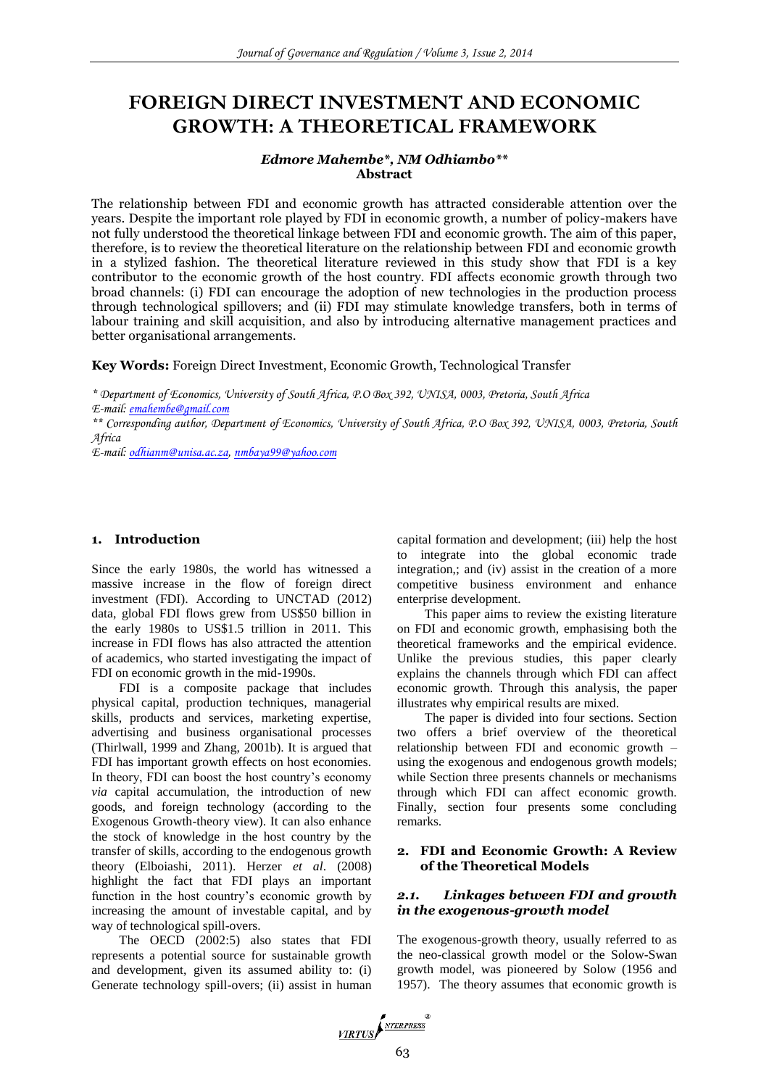# **FOREIGN DIRECT INVESTMENT AND ECONOMIC GROWTH: A THEORETICAL FRAMEWORK**

#### *Edmore Mahembe\*, NM Odhiambo\*\** **Abstract**

The relationship between FDI and economic growth has attracted considerable attention over the years. Despite the important role played by FDI in economic growth, a number of policy-makers have not fully understood the theoretical linkage between FDI and economic growth. The aim of this paper, therefore, is to review the theoretical literature on the relationship between FDI and economic growth in a stylized fashion. The theoretical literature reviewed in this study show that FDI is a key contributor to the economic growth of the host country. FDI affects economic growth through two broad channels: (i) FDI can encourage the adoption of new technologies in the production process through technological spillovers; and (ii) FDI may stimulate knowledge transfers, both in terms of labour training and skill acquisition, and also by introducing alternative management practices and better organisational arrangements.

**Key Words:** Foreign Direct Investment, Economic Growth, Technological Transfer

*\* Department of Economics, University of South Africa, P.O Box 392, UNISA, 0003, Pretoria, South Africa E-mail: [emahembe@gmail.com](mailto:emahembe@gmail.com)*

*\*\* Corresponding author, Department of Economics, University of South Africa, P.O Box 392, UNISA, 0003, Pretoria, South Africa*

*E-mail: [odhianm@unisa.ac.za,](mailto:odhianm@unisa.ac.za) [nmbaya99@yahoo.com](mailto:nmbaya99@yahoo.com)*

#### **1. Introduction**

Since the early 1980s, the world has witnessed a massive increase in the flow of foreign direct investment (FDI). According to UNCTAD (2012) data, global FDI flows grew from US\$50 billion in the early 1980s to US\$1.5 trillion in 2011. This increase in FDI flows has also attracted the attention of academics, who started investigating the impact of FDI on economic growth in the mid-1990s.

FDI is a composite package that includes physical capital, production techniques, managerial skills, products and services, marketing expertise, advertising and business organisational processes (Thirlwall, 1999 and Zhang, 2001b). It is argued that FDI has important growth effects on host economies. In theory, FDI can boost the host country's economy *via* capital accumulation, the introduction of new goods, and foreign technology (according to the Exogenous Growth-theory view). It can also enhance the stock of knowledge in the host country by the transfer of skills, according to the endogenous growth theory (Elboiashi, 2011). Herzer *et al*. (2008) highlight the fact that FDI plays an important function in the host country's economic growth by increasing the amount of investable capital, and by way of technological spill-overs.

The OECD (2002:5) also states that FDI represents a potential source for sustainable growth and development, given its assumed ability to: (i) Generate technology spill-overs; (ii) assist in human

capital formation and development; (iii) help the host to integrate into the global economic trade integration,; and (iv) assist in the creation of a more competitive business environment and enhance enterprise development.

This paper aims to review the existing literature on FDI and economic growth, emphasising both the theoretical frameworks and the empirical evidence. Unlike the previous studies, this paper clearly explains the channels through which FDI can affect economic growth. Through this analysis, the paper illustrates why empirical results are mixed.

The paper is divided into four sections. Section two offers a brief overview of the theoretical relationship between FDI and economic growth – using the exogenous and endogenous growth models; while Section three presents channels or mechanisms through which FDI can affect economic growth. Finally, section four presents some concluding remarks.

#### **2. FDI and Economic Growth: A Review of the Theoretical Models**

#### *2.1. Linkages between FDI and growth in the exogenous-growth model*

The exogenous-growth theory, usually referred to as the neo-classical growth model or the Solow-Swan growth model, was pioneered by Solow (1956 and 1957). The theory assumes that economic growth is

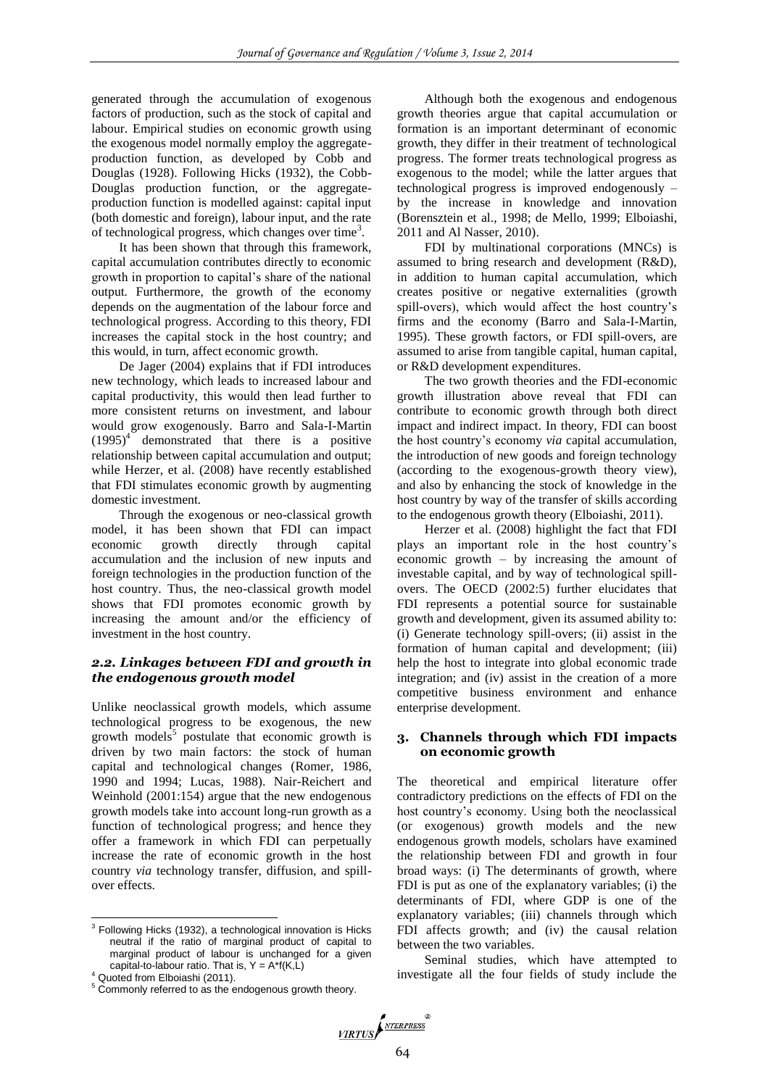generated through the accumulation of exogenous factors of production, such as the stock of capital and labour. Empirical studies on economic growth using the exogenous model normally employ the aggregateproduction function, as developed by Cobb and Douglas (1928). Following Hicks (1932), the Cobb-Douglas production function, or the aggregateproduction function is modelled against: capital input (both domestic and foreign), labour input, and the rate of technological progress, which changes over time<sup>3</sup>.

It has been shown that through this framework, capital accumulation contributes directly to economic growth in proportion to capital's share of the national output. Furthermore, the growth of the economy depends on the augmentation of the labour force and technological progress. According to this theory, FDI increases the capital stock in the host country; and this would, in turn, affect economic growth.

De Jager (2004) explains that if FDI introduces new technology, which leads to increased labour and capital productivity, this would then lead further to more consistent returns on investment, and labour would grow exogenously. Barro and Sala-I-Martin  $(1995)^4$  demonstrated that there is a positive relationship between capital accumulation and output; while Herzer, et al. (2008) have recently established that FDI stimulates economic growth by augmenting domestic investment.

Through the exogenous or neo-classical growth model, it has been shown that FDI can impact economic growth directly through capital accumulation and the inclusion of new inputs and foreign technologies in the production function of the host country. Thus, the neo-classical growth model shows that FDI promotes economic growth by increasing the amount and/or the efficiency of investment in the host country.

# *2.2. Linkages between FDI and growth in the endogenous growth model*

Unlike neoclassical growth models, which assume technological progress to be exogenous, the new growth models<sup>5</sup> postulate that economic growth is driven by two main factors: the stock of human capital and technological changes (Romer, 1986, 1990 and 1994; Lucas, 1988). Nair-Reichert and Weinhold (2001:154) argue that the new endogenous growth models take into account long-run growth as a function of technological progress; and hence they offer a framework in which FDI can perpetually increase the rate of economic growth in the host country *via* technology transfer, diffusion, and spillover effects.

 $\overline{\phantom{a}}$ 

Although both the exogenous and endogenous growth theories argue that capital accumulation or formation is an important determinant of economic growth, they differ in their treatment of technological progress. The former treats technological progress as exogenous to the model; while the latter argues that technological progress is improved endogenously – by the increase in knowledge and innovation (Borensztein et al., 1998; de Mello, 1999; Elboiashi, 2011 and Al Nasser, 2010).

FDI by multinational corporations (MNCs) is assumed to bring research and development (R&D), in addition to human capital accumulation, which creates positive or negative externalities (growth spill-overs), which would affect the host country's firms and the economy (Barro and Sala-I-Martin, 1995). These growth factors, or FDI spill-overs, are assumed to arise from tangible capital, human capital, or R&D development expenditures.

The two growth theories and the FDI-economic growth illustration above reveal that FDI can contribute to economic growth through both direct impact and indirect impact. In theory, FDI can boost the host country's economy *via* capital accumulation, the introduction of new goods and foreign technology (according to the exogenous-growth theory view), and also by enhancing the stock of knowledge in the host country by way of the transfer of skills according to the endogenous growth theory (Elboiashi, 2011).

Herzer et al. (2008) highlight the fact that FDI plays an important role in the host country's economic growth – by increasing the amount of investable capital, and by way of technological spillovers. The OECD (2002:5) further elucidates that FDI represents a potential source for sustainable growth and development, given its assumed ability to: (i) Generate technology spill-overs; (ii) assist in the formation of human capital and development; (iii) help the host to integrate into global economic trade integration; and (iv) assist in the creation of a more competitive business environment and enhance enterprise development.

#### **3. Channels through which FDI impacts on economic growth**

The theoretical and empirical literature offer contradictory predictions on the effects of FDI on the host country's economy. Using both the neoclassical (or exogenous) growth models and the new endogenous growth models, scholars have examined the relationship between FDI and growth in four broad ways: (i) The determinants of growth, where FDI is put as one of the explanatory variables; (i) the determinants of FDI, where GDP is one of the explanatory variables; (iii) channels through which FDI affects growth; and (iv) the causal relation between the two variables.

Seminal studies, which have attempted to investigate all the four fields of study include the

 $3$  Following Hicks (1932), a technological innovation is Hicks neutral if the ratio of marginal product of capital to marginal product of labour is unchanged for a given capital-to-labour ratio. That is,  $Y = A^*f(K, L)$ 

<sup>4</sup> Quoted from Elboiashi (2011).

<sup>&</sup>lt;sup>5</sup> Commonly referred to as the endogenous growth theory.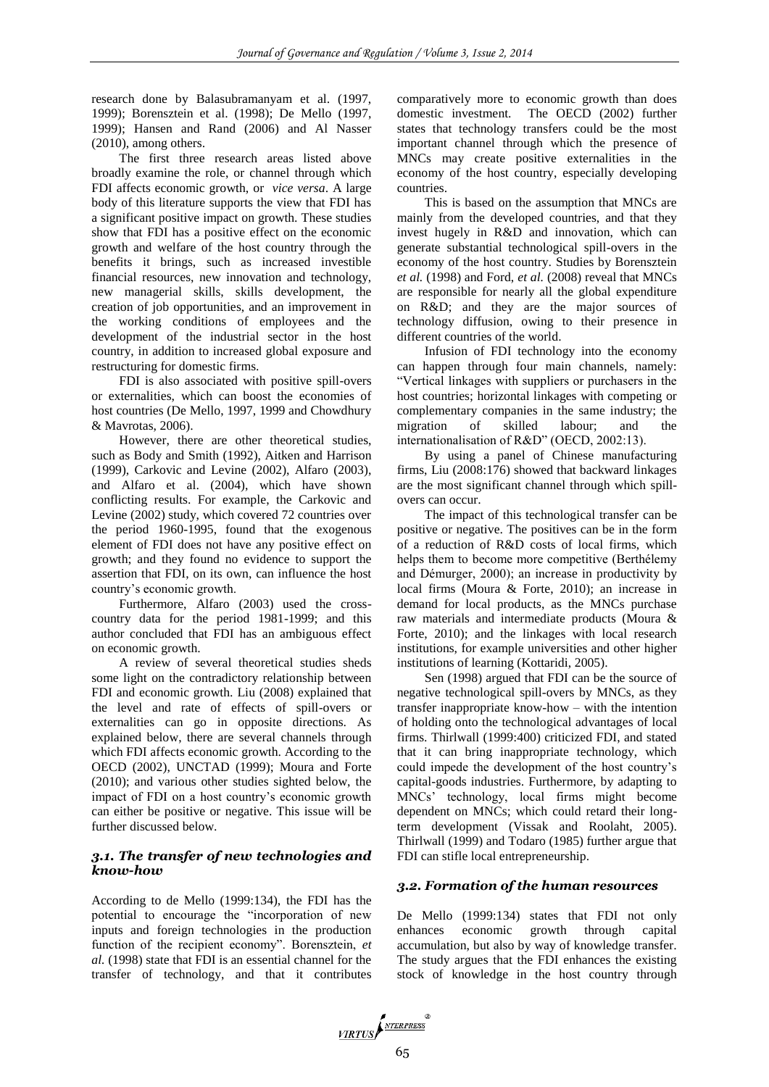research done by Balasubramanyam et al. (1997, 1999); Borensztein et al. (1998); De Mello (1997, 1999); Hansen and Rand (2006) and Al Nasser (2010), among others.

The first three research areas listed above broadly examine the role, or channel through which FDI affects economic growth, or *vice versa*. A large body of this literature supports the view that FDI has a significant positive impact on growth. These studies show that FDI has a positive effect on the economic growth and welfare of the host country through the benefits it brings, such as increased investible financial resources, new innovation and technology, new managerial skills, skills development, the creation of job opportunities, and an improvement in the working conditions of employees and the development of the industrial sector in the host country, in addition to increased global exposure and restructuring for domestic firms.

FDI is also associated with positive spill-overs or externalities, which can boost the economies of host countries (De Mello, 1997, 1999 and Chowdhury & Mavrotas, 2006).

However, there are other theoretical studies, such as Body and Smith (1992), Aitken and Harrison (1999), Carkovic and Levine (2002), Alfaro (2003), and Alfaro et al. (2004), which have shown conflicting results. For example, the Carkovic and Levine (2002) study, which covered 72 countries over the period 1960-1995, found that the exogenous element of FDI does not have any positive effect on growth; and they found no evidence to support the assertion that FDI, on its own, can influence the host country's economic growth.

Furthermore, Alfaro (2003) used the crosscountry data for the period 1981-1999; and this author concluded that FDI has an ambiguous effect on economic growth.

A review of several theoretical studies sheds some light on the contradictory relationship between FDI and economic growth. Liu (2008) explained that the level and rate of effects of spill-overs or externalities can go in opposite directions. As explained below, there are several channels through which FDI affects economic growth. According to the OECD (2002), UNCTAD (1999); Moura and Forte (2010); and various other studies sighted below, the impact of FDI on a host country's economic growth can either be positive or negative. This issue will be further discussed below.

# *3.1. The transfer of new technologies and know-how*

According to de Mello (1999:134), the FDI has the potential to encourage the "incorporation of new inputs and foreign technologies in the production function of the recipient economy". Borensztein, *et al.* (1998) state that FDI is an essential channel for the transfer of technology, and that it contributes comparatively more to economic growth than does domestic investment. The OECD (2002) further states that technology transfers could be the most important channel through which the presence of MNCs may create positive externalities in the economy of the host country, especially developing countries.

This is based on the assumption that MNCs are mainly from the developed countries, and that they invest hugely in R&D and innovation, which can generate substantial technological spill-overs in the economy of the host country. Studies by Borensztein *et al.* (1998) and Ford, *et al.* (2008) reveal that MNCs are responsible for nearly all the global expenditure on R&D; and they are the major sources of technology diffusion, owing to their presence in different countries of the world.

Infusion of FDI technology into the economy can happen through four main channels, namely: "Vertical linkages with suppliers or purchasers in the host countries; horizontal linkages with competing or complementary companies in the same industry; the migration of skilled labour; and the internationalisation of R&D" (OECD, 2002:13).

By using a panel of Chinese manufacturing firms, Liu (2008:176) showed that backward linkages are the most significant channel through which spillovers can occur.

The impact of this technological transfer can be positive or negative. The positives can be in the form of a reduction of R&D costs of local firms, which helps them to become more competitive (Berthélemy and Démurger, 2000); an increase in productivity by local firms (Moura & Forte, 2010); an increase in demand for local products, as the MNCs purchase raw materials and intermediate products (Moura & Forte, 2010); and the linkages with local research institutions, for example universities and other higher institutions of learning (Kottaridi, 2005).

Sen (1998) argued that FDI can be the source of negative technological spill-overs by MNCs, as they transfer inappropriate know-how – with the intention of holding onto the technological advantages of local firms. Thirlwall (1999:400) criticized FDI, and stated that it can bring inappropriate technology, which could impede the development of the host country's capital-goods industries. Furthermore, by adapting to MNCs' technology, local firms might become dependent on MNCs; which could retard their longterm development (Vissak and Roolaht, 2005). Thirlwall (1999) and Todaro (1985) further argue that FDI can stifle local entrepreneurship.

## *3.2. Formation of the human resources*

De Mello (1999:134) states that FDI not only enhances economic growth through capital accumulation, but also by way of knowledge transfer. The study argues that the FDI enhances the existing stock of knowledge in the host country through

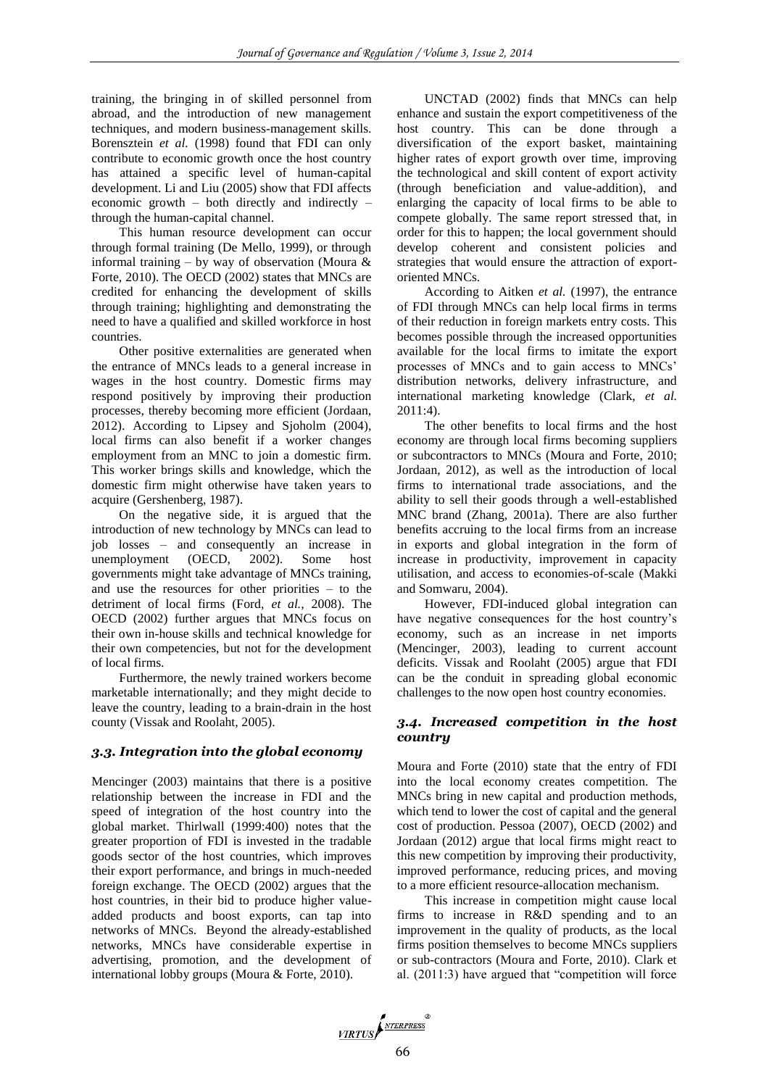training, the bringing in of skilled personnel from abroad, and the introduction of new management techniques, and modern business-management skills. Borensztein *et al.* (1998) found that FDI can only contribute to economic growth once the host country has attained a specific level of human-capital development. Li and Liu (2005) show that FDI affects economic growth – both directly and indirectly – through the human-capital channel.

This human resource development can occur through formal training (De Mello, 1999), or through informal training – by way of observation (Moura  $\&$ Forte, 2010). The OECD (2002) states that MNCs are credited for enhancing the development of skills through training; highlighting and demonstrating the need to have a qualified and skilled workforce in host countries.

Other positive externalities are generated when the entrance of MNCs leads to a general increase in wages in the host country. Domestic firms may respond positively by improving their production processes, thereby becoming more efficient (Jordaan, 2012). According to Lipsey and Sjoholm (2004), local firms can also benefit if a worker changes employment from an MNC to join a domestic firm. This worker brings skills and knowledge, which the domestic firm might otherwise have taken years to acquire (Gershenberg, 1987).

On the negative side, it is argued that the introduction of new technology by MNCs can lead to job losses – and consequently an increase in unemployment (OECD, 2002). Some host governments might take advantage of MNCs training, and use the resources for other priorities – to the detriment of local firms (Ford, *et al.,* 2008). The OECD (2002) further argues that MNCs focus on their own in-house skills and technical knowledge for their own competencies, but not for the development of local firms.

Furthermore, the newly trained workers become marketable internationally; and they might decide to leave the country, leading to a brain-drain in the host county (Vissak and Roolaht, 2005).

## *3.3. Integration into the global economy*

Mencinger (2003) maintains that there is a positive relationship between the increase in FDI and the speed of integration of the host country into the global market. Thirlwall (1999:400) notes that the greater proportion of FDI is invested in the tradable goods sector of the host countries, which improves their export performance, and brings in much-needed foreign exchange. The OECD (2002) argues that the host countries, in their bid to produce higher valueadded products and boost exports, can tap into networks of MNCs. Beyond the already-established networks, MNCs have considerable expertise in advertising, promotion, and the development of international lobby groups (Moura & Forte, 2010).

UNCTAD (2002) finds that MNCs can help enhance and sustain the export competitiveness of the host country. This can be done through a diversification of the export basket, maintaining higher rates of export growth over time, improving the technological and skill content of export activity (through beneficiation and value-addition), and enlarging the capacity of local firms to be able to compete globally. The same report stressed that, in order for this to happen; the local government should develop coherent and consistent policies and strategies that would ensure the attraction of exportoriented MNCs.

According to Aitken *et al.* (1997), the entrance of FDI through MNCs can help local firms in terms of their reduction in foreign markets entry costs. This becomes possible through the increased opportunities available for the local firms to imitate the export processes of MNCs and to gain access to MNCs' distribution networks, delivery infrastructure, and international marketing knowledge (Clark, *et al.* 2011:4).

The other benefits to local firms and the host economy are through local firms becoming suppliers or subcontractors to MNCs (Moura and Forte, 2010; Jordaan, 2012), as well as the introduction of local firms to international trade associations, and the ability to sell their goods through a well-established MNC brand (Zhang, 2001a). There are also further benefits accruing to the local firms from an increase in exports and global integration in the form of increase in productivity, improvement in capacity utilisation, and access to economies-of-scale (Makki and Somwaru, 2004).

However, FDI-induced global integration can have negative consequences for the host country's economy, such as an increase in net imports (Mencinger, 2003), leading to current account deficits. Vissak and Roolaht (2005) argue that FDI can be the conduit in spreading global economic challenges to the now open host country economies.

## *3.4. Increased competition in the host country*

Moura and Forte (2010) state that the entry of FDI into the local economy creates competition. The MNCs bring in new capital and production methods, which tend to lower the cost of capital and the general cost of production. Pessoa (2007), OECD (2002) and Jordaan (2012) argue that local firms might react to this new competition by improving their productivity, improved performance, reducing prices, and moving to a more efficient resource-allocation mechanism.

This increase in competition might cause local firms to increase in R&D spending and to an improvement in the quality of products, as the local firms position themselves to become MNCs suppliers or sub-contractors (Moura and Forte, 2010). Clark et al. (2011:3) have argued that "competition will force

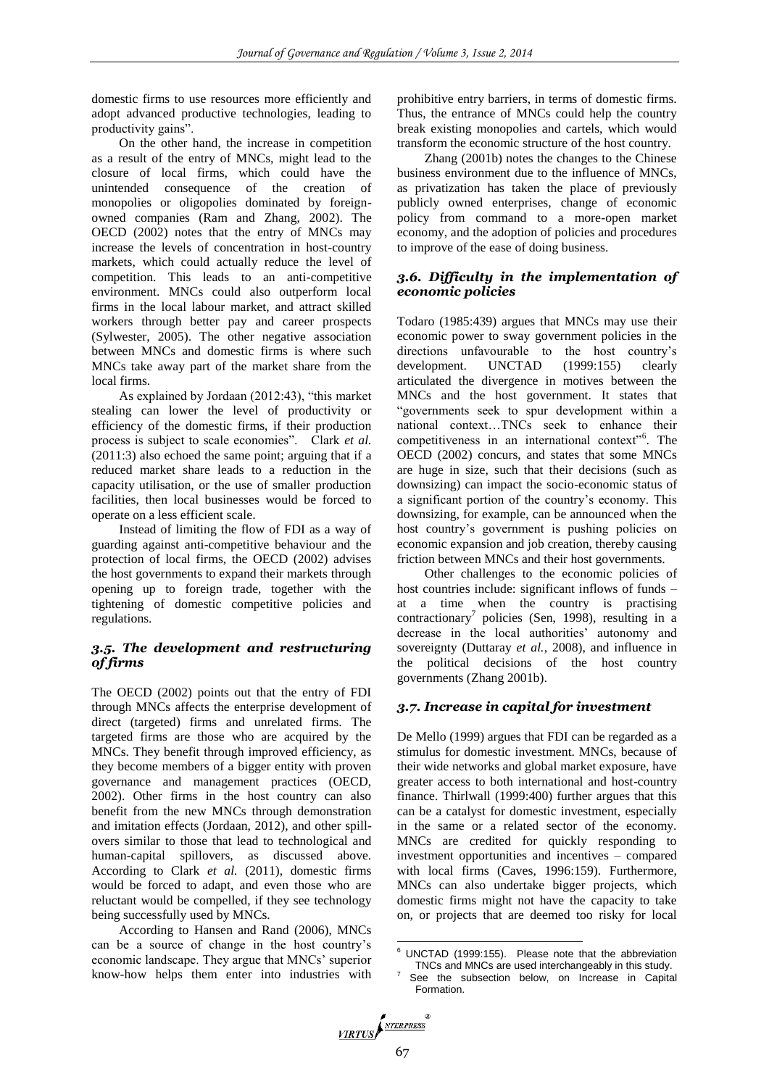domestic firms to use resources more efficiently and adopt advanced productive technologies, leading to productivity gains".

On the other hand, the increase in competition as a result of the entry of MNCs, might lead to the closure of local firms, which could have the unintended consequence of the creation of monopolies or oligopolies dominated by foreignowned companies (Ram and Zhang, 2002). The OECD (2002) notes that the entry of MNCs may increase the levels of concentration in host-country markets, which could actually reduce the level of competition. This leads to an anti-competitive environment. MNCs could also outperform local firms in the local labour market, and attract skilled workers through better pay and career prospects (Sylwester, 2005). The other negative association between MNCs and domestic firms is where such MNCs take away part of the market share from the local firms.

As explained by Jordaan (2012:43), "this market stealing can lower the level of productivity or efficiency of the domestic firms, if their production process is subject to scale economies". Clark *et al.* (2011:3) also echoed the same point; arguing that if a reduced market share leads to a reduction in the capacity utilisation, or the use of smaller production facilities, then local businesses would be forced to operate on a less efficient scale.

Instead of limiting the flow of FDI as a way of guarding against anti-competitive behaviour and the protection of local firms, the OECD (2002) advises the host governments to expand their markets through opening up to foreign trade, together with the tightening of domestic competitive policies and regulations.

# *3.5. The development and restructuring of firms*

The OECD (2002) points out that the entry of FDI through MNCs affects the enterprise development of direct (targeted) firms and unrelated firms. The targeted firms are those who are acquired by the MNCs. They benefit through improved efficiency, as they become members of a bigger entity with proven governance and management practices (OECD, 2002). Other firms in the host country can also benefit from the new MNCs through demonstration and imitation effects (Jordaan, 2012), and other spillovers similar to those that lead to technological and human-capital spillovers, as discussed above. According to Clark *et al.* (2011), domestic firms would be forced to adapt, and even those who are reluctant would be compelled, if they see technology being successfully used by MNCs.

According to Hansen and Rand (2006), MNCs can be a source of change in the host country's economic landscape. They argue that MNCs' superior know-how helps them enter into industries with prohibitive entry barriers, in terms of domestic firms. Thus, the entrance of MNCs could help the country break existing monopolies and cartels, which would transform the economic structure of the host country.

Zhang (2001b) notes the changes to the Chinese business environment due to the influence of MNCs, as privatization has taken the place of previously publicly owned enterprises, change of economic policy from command to a more-open market economy, and the adoption of policies and procedures to improve of the ease of doing business.

# *3.6. Difficulty in the implementation of economic policies*

Todaro (1985:439) argues that MNCs may use their economic power to sway government policies in the directions unfavourable to the host country's development. UNCTAD (1999:155) clearly articulated the divergence in motives between the MNCs and the host government. It states that "governments seek to spur development within a national context…TNCs seek to enhance their competitiveness in an international context"<sup>6</sup>. The OECD (2002) concurs, and states that some MNCs are huge in size, such that their decisions (such as downsizing) can impact the socio-economic status of a significant portion of the country's economy. This downsizing, for example, can be announced when the host country's government is pushing policies on economic expansion and job creation, thereby causing friction between MNCs and their host governments.

Other challenges to the economic policies of host countries include: significant inflows of funds – at a time when the country is practising contractionary<sup>7</sup> policies (Sen, 1998), resulting in a decrease in the local authorities' autonomy and sovereignty (Duttaray *et al.*, 2008), and influence in the political decisions of the host country governments (Zhang 2001b).

## *3.7. Increase in capital for investment*

De Mello (1999) argues that FDI can be regarded as a stimulus for domestic investment. MNCs, because of their wide networks and global market exposure, have greater access to both international and host-country finance. Thirlwall (1999:400) further argues that this can be a catalyst for domestic investment, especially in the same or a related sector of the economy. MNCs are credited for quickly responding to investment opportunities and incentives – compared with local firms (Caves, 1996:159). Furthermore, MNCs can also undertake bigger projects, which domestic firms might not have the capacity to take on, or projects that are deemed too risky for local

<sup>1</sup>  $6$  UNCTAD (1999:155). Please note that the abbreviation TNCs and MNCs are used interchangeably in this study.

See the subsection below, on Increase in Capital Formation.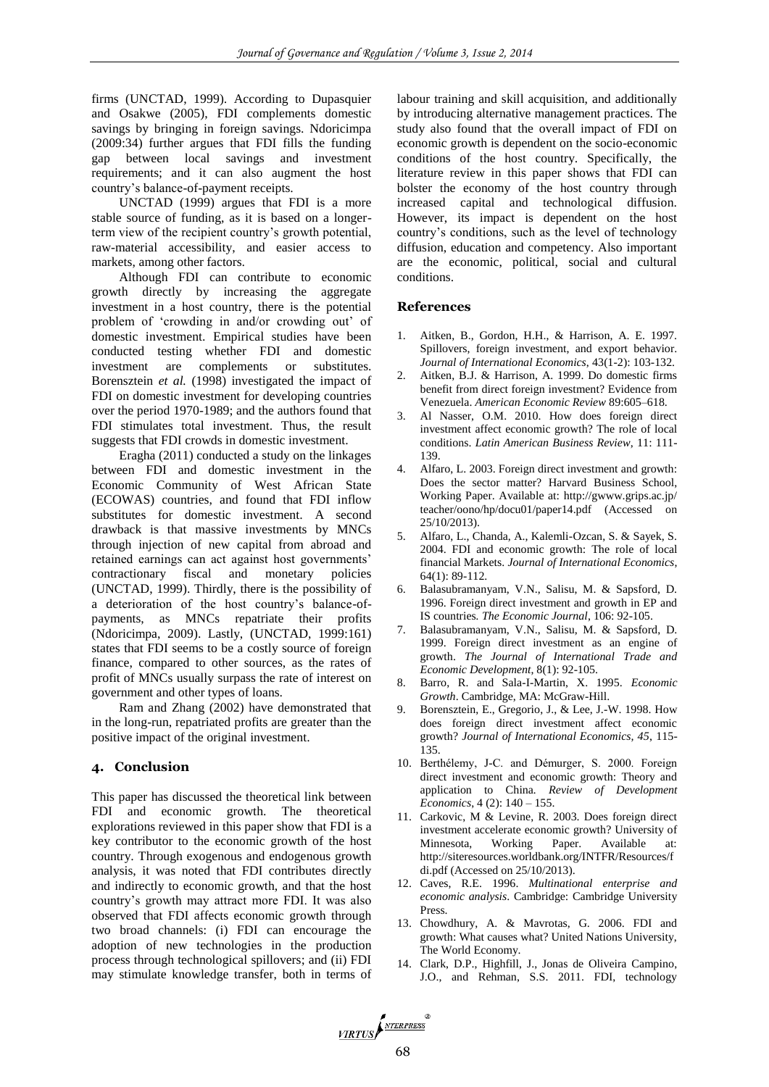firms (UNCTAD, 1999). According to Dupasquier and Osakwe (2005), FDI complements domestic savings by bringing in foreign savings. Ndoricimpa (2009:34) further argues that FDI fills the funding gap between local savings and investment requirements; and it can also augment the host country's balance-of-payment receipts.

UNCTAD (1999) argues that FDI is a more stable source of funding, as it is based on a longerterm view of the recipient country's growth potential, raw-material accessibility, and easier access to markets, among other factors.

Although FDI can contribute to economic growth directly by increasing the aggregate investment in a host country, there is the potential problem of 'crowding in and/or crowding out' of domestic investment. Empirical studies have been conducted testing whether FDI and domestic investment are complements or substitutes. Borensztein *et al.* (1998) investigated the impact of FDI on domestic investment for developing countries over the period 1970-1989; and the authors found that FDI stimulates total investment. Thus, the result suggests that FDI crowds in domestic investment.

Eragha (2011) conducted a study on the linkages between FDI and domestic investment in the Economic Community of West African State (ECOWAS) countries, and found that FDI inflow substitutes for domestic investment. A second drawback is that massive investments by MNCs through injection of new capital from abroad and retained earnings can act against host governments' contractionary fiscal and monetary policies (UNCTAD, 1999). Thirdly, there is the possibility of a deterioration of the host country's balance-ofpayments, as MNCs repatriate their profits (Ndoricimpa, 2009). Lastly, (UNCTAD, 1999:161) states that FDI seems to be a costly source of foreign finance, compared to other sources, as the rates of profit of MNCs usually surpass the rate of interest on government and other types of loans.

Ram and Zhang (2002) have demonstrated that in the long-run, repatriated profits are greater than the positive impact of the original investment.

## **4. Conclusion**

This paper has discussed the theoretical link between FDI and economic growth. The theoretical explorations reviewed in this paper show that FDI is a key contributor to the economic growth of the host country. Through exogenous and endogenous growth analysis, it was noted that FDI contributes directly and indirectly to economic growth, and that the host country's growth may attract more FDI. It was also observed that FDI affects economic growth through two broad channels: (i) FDI can encourage the adoption of new technologies in the production process through technological spillovers; and (ii) FDI may stimulate knowledge transfer, both in terms of labour training and skill acquisition, and additionally by introducing alternative management practices. The study also found that the overall impact of FDI on economic growth is dependent on the socio-economic conditions of the host country. Specifically, the literature review in this paper shows that FDI can bolster the economy of the host country through increased capital and technological diffusion. However, its impact is dependent on the host country's conditions, such as the level of technology diffusion, education and competency. Also important are the economic, political, social and cultural conditions.

#### **References**

- 1. Aitken, B., Gordon, H.H., & Harrison, A. E. 1997. Spillovers, foreign investment, and export behavior. *Journal of International Economics*, 43(1-2): 103-132.
- 2. Aitken, B.J. & Harrison, A. 1999. Do domestic firms benefit from direct foreign investment? Evidence from Venezuela. *American Economic Review* 89:605–618.
- 3. Al Nasser, O.M. 2010. How does foreign direct investment affect economic growth? The role of local conditions. *Latin American Business Review*, 11: 111- 139.
- 4. Alfaro, L. 2003. Foreign direct investment and growth: Does the sector matter? Harvard Business School, Working Paper. Available at: http://gwww.grips.ac.jp/ teacher/oono/hp/docu01/paper14.pdf (Accessed on 25/10/2013).
- 5. Alfaro, L., Chanda, A., Kalemli-Ozcan, S. & Sayek, S. 2004. FDI and economic growth: The role of local financial Markets. *Journal of International Economics*, 64(1): 89-112.
- 6. Balasubramanyam, V.N., Salisu, M. & Sapsford, D. 1996. Foreign direct investment and growth in EP and IS countries*. The Economic Journal*, 106: 92-105.
- 7. Balasubramanyam, V.N., Salisu, M. & Sapsford, D. 1999. Foreign direct investment as an engine of growth. *The Journal of International Trade and Economic Development*, 8(1): 92-105.
- 8. Barro, R. and Sala-I-Martin, X. 1995. *Economic Growth*. Cambridge, MA: McGraw-Hill.
- 9. Borensztein, E., Gregorio, J., & Lee, J.-W. 1998. How does foreign direct investment affect economic growth? *Journal of International Economics, 45*, 115- 135.
- 10. Berthélemy, J-C. and Démurger, S. 2000. Foreign direct investment and economic growth: Theory and application to China*. Review of Development Economics*, 4 (2): 140 – 155.
- 11. Carkovic, M & Levine, R. 2003. Does foreign direct investment accelerate economic growth? University of Minnesota, Working Paper. Available at: http://siteresources.worldbank.org/INTFR/Resources/f di.pdf (Accessed on 25/10/2013).
- 12. Caves, R.E. 1996. *Multinational enterprise and economic analysis*. Cambridge: Cambridge University Press.
- 13. Chowdhury, A. & Mavrotas, G. 2006. FDI and growth: What causes what? United Nations University, The World Economy.
- 14. Clark, D.P., Highfill, J., Jonas de Oliveira Campino, J.O., and Rehman, S.S. 2011. FDI, technology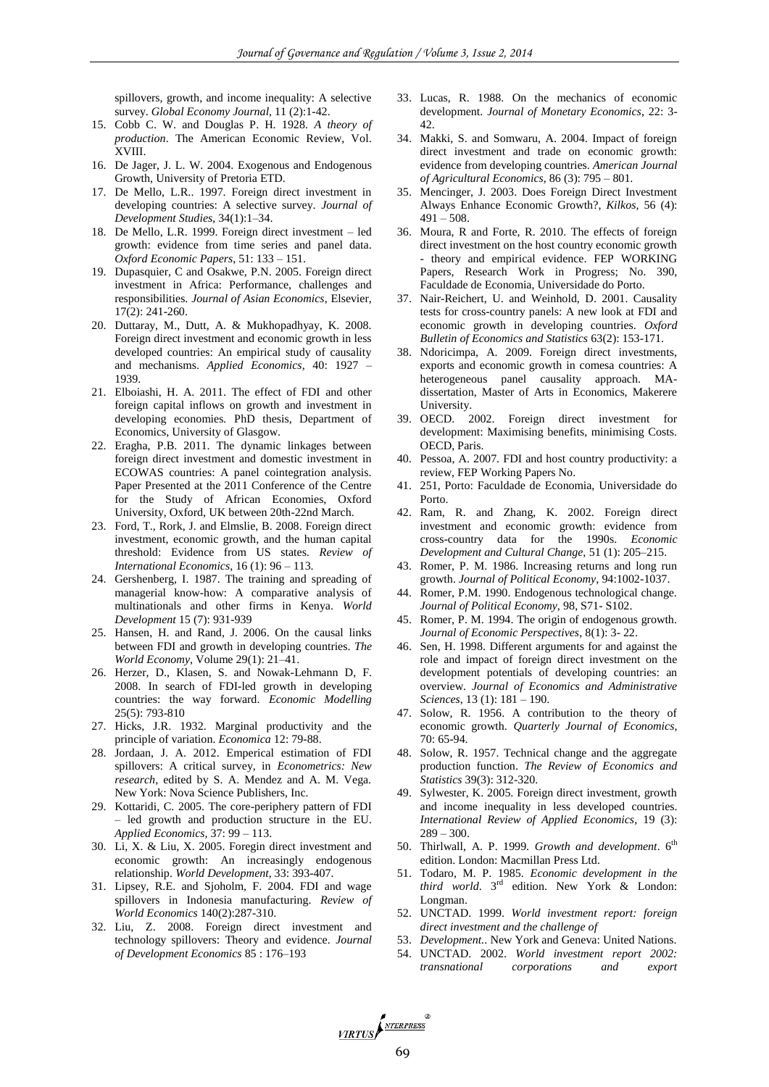spillovers, growth, and income inequality: A selective survey. *Global Economy Journal*, 11 (2):1-42.

- 15. Cobb C. W. and Douglas P. H. 1928. *A theory of production*. The American Economic Review, Vol. XVIII.
- 16. De Jager, J. L. W. 2004. Exogenous and Endogenous Growth, University of Pretoria ETD.
- 17. De Mello, L.R.. 1997. Foreign direct investment in developing countries: A selective survey. *Journal of Development Studies*, 34(1):1–34.
- 18. De Mello, L.R. 1999. Foreign direct investment led growth: evidence from time series and panel data. *Oxford Economic Papers*, 51: 133 – 151.
- 19. Dupasquier, C and Osakwe, P.N. 2005. Foreign direct investment in Africa: Performance, challenges and responsibilities. *Journal of Asian Economics*, Elsevier, 17(2): 241-260.
- 20. Duttaray, M., Dutt, A. & Mukhopadhyay, K. 2008. Foreign direct investment and economic growth in less developed countries: An empirical study of causality and mechanisms. *Applied Economics,* 40: 1927 – 1939.
- 21. Elboiashi, H. A. 2011. The effect of FDI and other foreign capital inflows on growth and investment in developing economies*.* PhD thesis, Department of Economics, University of Glasgow.
- 22. Eragha, P.B. 2011. The dynamic linkages between foreign direct investment and domestic investment in ECOWAS countries: A panel cointegration analysis. Paper Presented at the 2011 Conference of the Centre for the Study of African Economies, Oxford University, Oxford, UK between 20th-22nd March.
- 23. Ford, T., Rork, J. and Elmslie, B. 2008. Foreign direct investment, economic growth, and the human capital threshold: Evidence from US states. *Review of International Economics*, 16 (1): 96 – 113.
- 24. Gershenberg, I. 1987. The training and spreading of managerial know-how: A comparative analysis of multinationals and other firms in Kenya. *World Development* 15 (7): 931-939
- 25. Hansen, H. and Rand, J. 2006. On the causal links between FDI and growth in developing countries. *The World Economy*, Volume 29(1): 21–41.
- 26. Herzer, D., Klasen, S. and Nowak-Lehmann D, F. 2008. In search of FDI-led growth in developing countries: the way forward. *Economic Modelling* 25(5): 793-810
- 27. Hicks, J.R. 1932. Marginal productivity and the principle of variation. *Economica* 12: 79-88.
- 28. Jordaan, J. A. 2012. Emperical estimation of FDI spillovers: A critical survey, in *Econometrics: New research*, edited by S. A. Mendez and A. M. Vega. New York: Nova Science Publishers, Inc.
- 29. Kottaridi, C. 2005. The core-periphery pattern of FDI – led growth and production structure in the EU. *Applied Economics,* 37: 99 – 113.
- 30. Li, X. & Liu, X. 2005. Foregin direct investment and economic growth: An increasingly endogenous relationship. *World Development*, 33: 393-407.
- 31. Lipsey, R.E. and Sjoholm, F. 2004. FDI and wage spillovers in Indonesia manufacturing. *Review of World Economics* 140(2):287-310.
- 32. Liu, Z. 2008. Foreign direct investment and technology spillovers: Theory and evidence. *Journal of Development Economics* 85 : 176–193
- 33. Lucas, R. 1988. On the mechanics of economic development. *Journal of Monetary Economics*, 22: 3- 42.
- 34. Makki, S. and Somwaru, A. 2004. Impact of foreign direct investment and trade on economic growth: evidence from developing countries. *American Journal of Agricultural Economics*, 86 (3): 795 – 801.
- 35. Mencinger, J. 2003. Does Foreign Direct Investment Always Enhance Economic Growth?*, Kilkos,* 56 (4):  $491 - 508$ .
- 36. Moura, R and Forte, R. 2010. The effects of foreign direct investment on the host country economic growth - theory and empirical evidence. FEP WORKING Papers, Research Work in Progress; No. 390, Faculdade de Economia, Universidade do Porto.
- 37. Nair-Reichert, U. and Weinhold, D. 2001. Causality tests for cross-country panels: A new look at FDI and economic growth in developing countries. *Oxford Bulletin of Economics and Statistics* 63(2): 153-171.
- 38. Ndoricimpa, A. 2009. Foreign direct investments, exports and economic growth in comesa countries: A heterogeneous panel causality approach. MAdissertation, Master of Arts in Economics, Makerere University.
- 39. OECD. 2002. Foreign direct investment for development: Maximising benefits, minimising Costs. OECD, Paris.
- 40. Pessoa, A. 2007. FDI and host country productivity: a review, FEP Working Papers No.
- 41. 251, Porto: Faculdade de Economia, Universidade do Porto.
- 42. Ram, R. and Zhang, K. 2002. Foreign direct investment and economic growth: evidence from cross-country data for the 1990s. *Economic Development and Cultural Change,* 51 (1): 205–215.
- 43. Romer, P. M. 1986. Increasing returns and long run growth. *Journal of Political Economy*, 94:1002-1037.
- 44. Romer, P.M. 1990. Endogenous technological change. *Journal of Political Economy,* 98, S71- S102.
- 45. Romer, P. M. 1994. The origin of endogenous growth. *Journal of Economic Perspectives*, 8(1): 3- 22.
- 46. Sen, H. 1998. Different arguments for and against the role and impact of foreign direct investment on the development potentials of developing countries: an overview. *Journal of Economics and Administrative Sciences*, 13 (1): 181 – 190.
- 47. Solow, R. 1956. A contribution to the theory of economic growth. *Quarterly Journal of Economics*, 70: 65-94.
- 48. Solow, R. 1957. Technical change and the aggregate production function. *The Review of Economics and Statistics* 39(3): 312-320.
- 49. Sylwester, K. 2005. Foreign direct investment, growth and income inequality in less developed countries. *International Review of Applied Economics*, 19 (3):  $289 - 300.$
- 50. Thirlwall, A. P. 1999. *Growth and development*. 6th edition. London: Macmillan Press Ltd.
- 51. Todaro, M. P. 1985. *Economic development in the third world*. 3rd edition. New York & London: Longman.
- 52. UNCTAD. 1999. *World investment report: foreign direct investment and the challenge of*
- 53. *Development.*. New York and Geneva: United Nations.
- 54. UNCTAD. 2002. *World investment report 2002: transnational corporations and export*